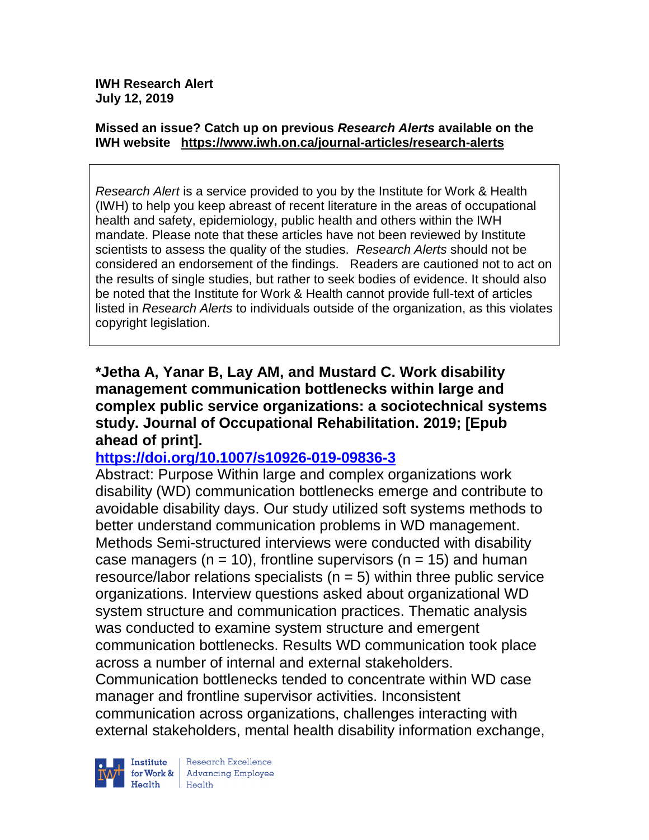#### **Missed an issue? Catch up on previous** *Research Alerts* **available on the [IWH website](http://www.iwh.on.ca/research-alerts) <https://www.iwh.on.ca/journal-articles/research-alerts>**

*Research Alert* is a service provided to you by the Institute for Work & Health (IWH) to help you keep abreast of recent literature in the areas of occupational health and safety, epidemiology, public health and others within the IWH mandate. Please note that these articles have not been reviewed by Institute scientists to assess the quality of the studies. *Research Alerts* should not be considered an endorsement of the findings. Readers are cautioned not to act on the results of single studies, but rather to seek bodies of evidence. It should also be noted that the Institute for Work & Health cannot provide full-text of articles listed in *Research Alerts* to individuals outside of the organization, as this violates copyright legislation.

**\*Jetha A, Yanar B, Lay AM, and Mustard C. Work disability management communication bottlenecks within large and complex public service organizations: a sociotechnical systems study. Journal of Occupational Rehabilitation. 2019; [Epub ahead of print].**

# **<https://doi.org/10.1007/s10926-019-09836-3>**

Abstract: Purpose Within large and complex organizations work disability (WD) communication bottlenecks emerge and contribute to avoidable disability days. Our study utilized soft systems methods to better understand communication problems in WD management. Methods Semi-structured interviews were conducted with disability case managers ( $n = 10$ ), frontline supervisors ( $n = 15$ ) and human resource/labor relations specialists ( $n = 5$ ) within three public service organizations. Interview questions asked about organizational WD system structure and communication practices. Thematic analysis was conducted to examine system structure and emergent communication bottlenecks. Results WD communication took place across a number of internal and external stakeholders. Communication bottlenecks tended to concentrate within WD case manager and frontline supervisor activities. Inconsistent communication across organizations, challenges interacting with external stakeholders, mental health disability information exchange,

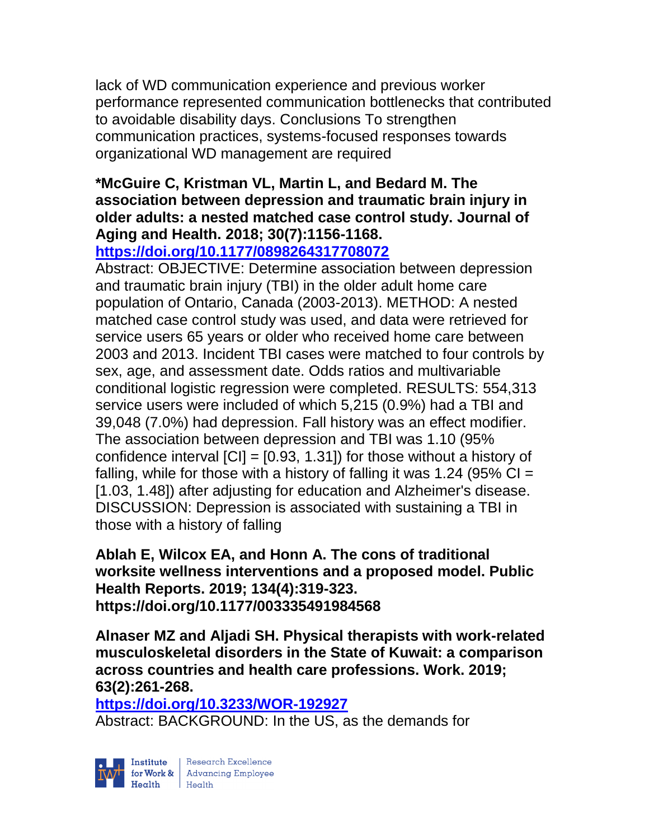lack of WD communication experience and previous worker performance represented communication bottlenecks that contributed to avoidable disability days. Conclusions To strengthen communication practices, systems-focused responses towards organizational WD management are required

## **\*McGuire C, Kristman VL, Martin L, and Bedard M. The association between depression and traumatic brain injury in older adults: a nested matched case control study. Journal of Aging and Health. 2018; 30(7):1156-1168.**

**<https://doi.org/10.1177/0898264317708072>** 

Abstract: OBJECTIVE: Determine association between depression and traumatic brain injury (TBI) in the older adult home care population of Ontario, Canada (2003-2013). METHOD: A nested matched case control study was used, and data were retrieved for service users 65 years or older who received home care between 2003 and 2013. Incident TBI cases were matched to four controls by sex, age, and assessment date. Odds ratios and multivariable conditional logistic regression were completed. RESULTS: 554,313 service users were included of which 5,215 (0.9%) had a TBI and 39,048 (7.0%) had depression. Fall history was an effect modifier. The association between depression and TBI was 1.10 (95% confidence interval  $\text{[CI]} = \text{[0.93, 1.31]}$  for those without a history of falling, while for those with a history of falling it was 1.24 (95%  $Cl =$ [1.03, 1.48]) after adjusting for education and Alzheimer's disease. DISCUSSION: Depression is associated with sustaining a TBI in those with a history of falling

### **Ablah E, Wilcox EA, and Honn A. The cons of traditional worksite wellness interventions and a proposed model. Public Health Reports. 2019; 134(4):319-323. https://doi.org/10.1177/003335491984568**

**Alnaser MZ and Aljadi SH. Physical therapists with work-related musculoskeletal disorders in the State of Kuwait: a comparison across countries and health care professions. Work. 2019; 63(2):261-268.** 

**<https://doi.org/10.3233/WOR-192927>** 

Abstract: BACKGROUND: In the US, as the demands for



Research Excellence Finantium Research Excellence<br>
Finantium Research Employee<br>
Realth Health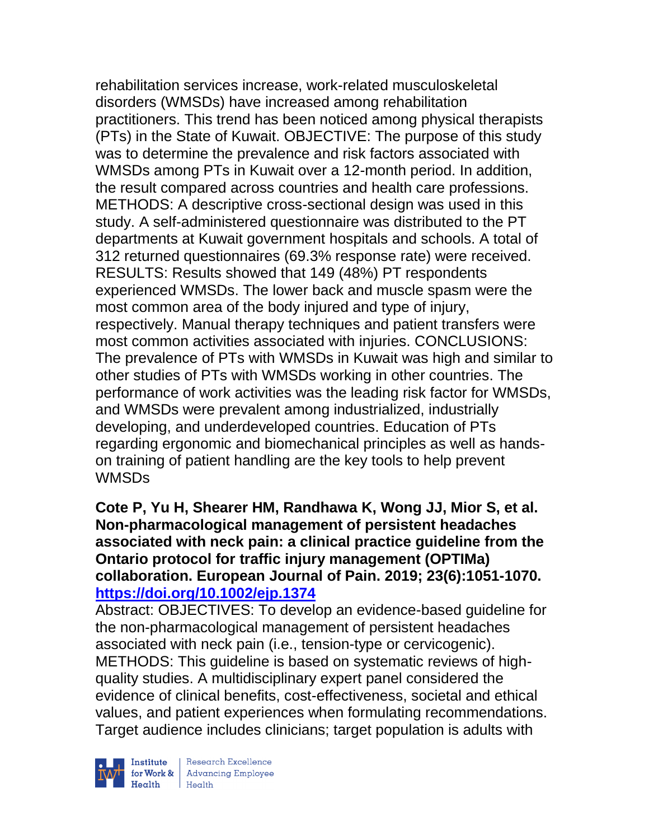rehabilitation services increase, work-related musculoskeletal disorders (WMSDs) have increased among rehabilitation practitioners. This trend has been noticed among physical therapists (PTs) in the State of Kuwait. OBJECTIVE: The purpose of this study was to determine the prevalence and risk factors associated with WMSDs among PTs in Kuwait over a 12-month period. In addition, the result compared across countries and health care professions. METHODS: A descriptive cross-sectional design was used in this study. A self-administered questionnaire was distributed to the PT departments at Kuwait government hospitals and schools. A total of 312 returned questionnaires (69.3% response rate) were received. RESULTS: Results showed that 149 (48%) PT respondents experienced WMSDs. The lower back and muscle spasm were the most common area of the body injured and type of injury, respectively. Manual therapy techniques and patient transfers were most common activities associated with injuries. CONCLUSIONS: The prevalence of PTs with WMSDs in Kuwait was high and similar to other studies of PTs with WMSDs working in other countries. The performance of work activities was the leading risk factor for WMSDs, and WMSDs were prevalent among industrialized, industrially developing, and underdeveloped countries. Education of PTs regarding ergonomic and biomechanical principles as well as handson training of patient handling are the key tools to help prevent WMSDs

#### **Cote P, Yu H, Shearer HM, Randhawa K, Wong JJ, Mior S, et al. Non-pharmacological management of persistent headaches associated with neck pain: a clinical practice guideline from the Ontario protocol for traffic injury management (OPTIMa) collaboration. European Journal of Pain. 2019; 23(6):1051-1070. <https://doi.org/10.1002/ejp.1374>**

Abstract: OBJECTIVES: To develop an evidence-based guideline for the non-pharmacological management of persistent headaches associated with neck pain (i.e., tension-type or cervicogenic). METHODS: This guideline is based on systematic reviews of highquality studies. A multidisciplinary expert panel considered the evidence of clinical benefits, cost-effectiveness, societal and ethical values, and patient experiences when formulating recommendations. Target audience includes clinicians; target population is adults with



Institute Research Excellence<br>
for Work & Advancing Employee<br>
Health Health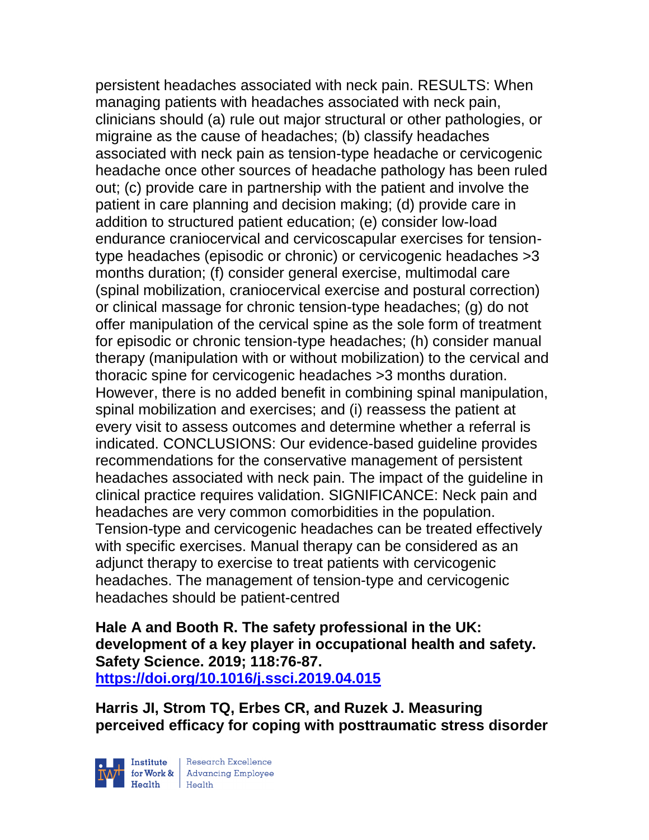persistent headaches associated with neck pain. RESULTS: When managing patients with headaches associated with neck pain, clinicians should (a) rule out major structural or other pathologies, or migraine as the cause of headaches; (b) classify headaches associated with neck pain as tension-type headache or cervicogenic headache once other sources of headache pathology has been ruled out; (c) provide care in partnership with the patient and involve the patient in care planning and decision making; (d) provide care in addition to structured patient education; (e) consider low-load endurance craniocervical and cervicoscapular exercises for tensiontype headaches (episodic or chronic) or cervicogenic headaches >3 months duration; (f) consider general exercise, multimodal care (spinal mobilization, craniocervical exercise and postural correction) or clinical massage for chronic tension-type headaches; (g) do not offer manipulation of the cervical spine as the sole form of treatment for episodic or chronic tension-type headaches; (h) consider manual therapy (manipulation with or without mobilization) to the cervical and thoracic spine for cervicogenic headaches >3 months duration. However, there is no added benefit in combining spinal manipulation, spinal mobilization and exercises; and (i) reassess the patient at every visit to assess outcomes and determine whether a referral is indicated. CONCLUSIONS: Our evidence-based guideline provides recommendations for the conservative management of persistent headaches associated with neck pain. The impact of the guideline in clinical practice requires validation. SIGNIFICANCE: Neck pain and headaches are very common comorbidities in the population. Tension-type and cervicogenic headaches can be treated effectively with specific exercises. Manual therapy can be considered as an adjunct therapy to exercise to treat patients with cervicogenic headaches. The management of tension-type and cervicogenic headaches should be patient-centred

**Hale A and Booth R. The safety professional in the UK: development of a key player in occupational health and safety. Safety Science. 2019; 118:76-87. <https://doi.org/10.1016/j.ssci.2019.04.015>** 

**Harris JI, Strom TQ, Erbes CR, and Ruzek J. Measuring perceived efficacy for coping with posttraumatic stress disorder** 

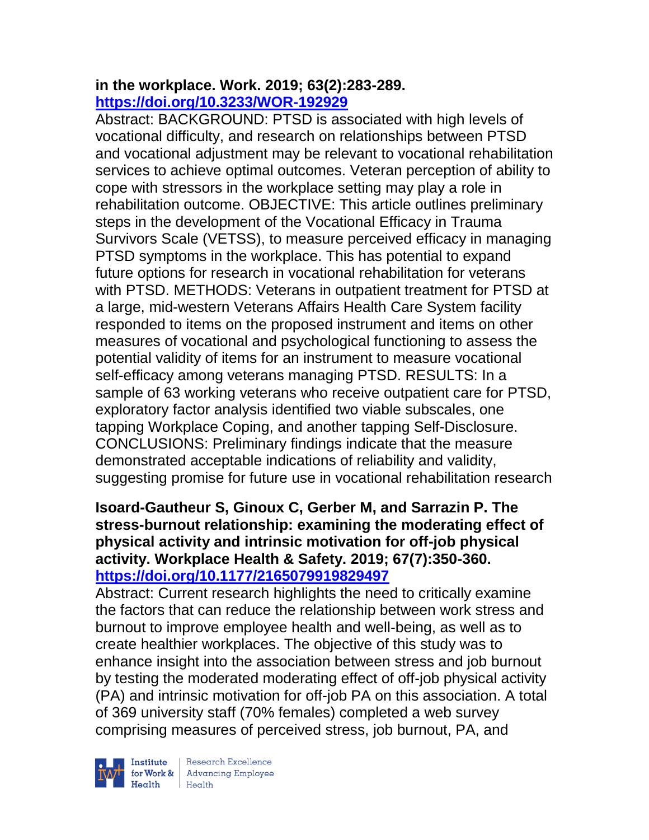#### **in the workplace. Work. 2019; 63(2):283-289. <https://doi.org/10.3233/WOR-192929>**

Abstract: BACKGROUND: PTSD is associated with high levels of vocational difficulty, and research on relationships between PTSD and vocational adjustment may be relevant to vocational rehabilitation services to achieve optimal outcomes. Veteran perception of ability to cope with stressors in the workplace setting may play a role in rehabilitation outcome. OBJECTIVE: This article outlines preliminary steps in the development of the Vocational Efficacy in Trauma Survivors Scale (VETSS), to measure perceived efficacy in managing PTSD symptoms in the workplace. This has potential to expand future options for research in vocational rehabilitation for veterans with PTSD. METHODS: Veterans in outpatient treatment for PTSD at a large, mid-western Veterans Affairs Health Care System facility responded to items on the proposed instrument and items on other measures of vocational and psychological functioning to assess the potential validity of items for an instrument to measure vocational self-efficacy among veterans managing PTSD. RESULTS: In a sample of 63 working veterans who receive outpatient care for PTSD, exploratory factor analysis identified two viable subscales, one tapping Workplace Coping, and another tapping Self-Disclosure. CONCLUSIONS: Preliminary findings indicate that the measure demonstrated acceptable indications of reliability and validity, suggesting promise for future use in vocational rehabilitation research

## **Isoard-Gautheur S, Ginoux C, Gerber M, and Sarrazin P. The stress-burnout relationship: examining the moderating effect of physical activity and intrinsic motivation for off-job physical activity. Workplace Health & Safety. 2019; 67(7):350-360. <https://doi.org/10.1177/2165079919829497>**

Abstract: Current research highlights the need to critically examine the factors that can reduce the relationship between work stress and burnout to improve employee health and well-being, as well as to create healthier workplaces. The objective of this study was to enhance insight into the association between stress and job burnout by testing the moderated moderating effect of off-job physical activity (PA) and intrinsic motivation for off-job PA on this association. A total of 369 university staff (70% females) completed a web survey comprising measures of perceived stress, job burnout, PA, and



 $\begin{tabular}{|l|} Institute & Research Excellence \\ \hline for Work & Advancing Employee \\ Health & Health \\ \end{tabular}$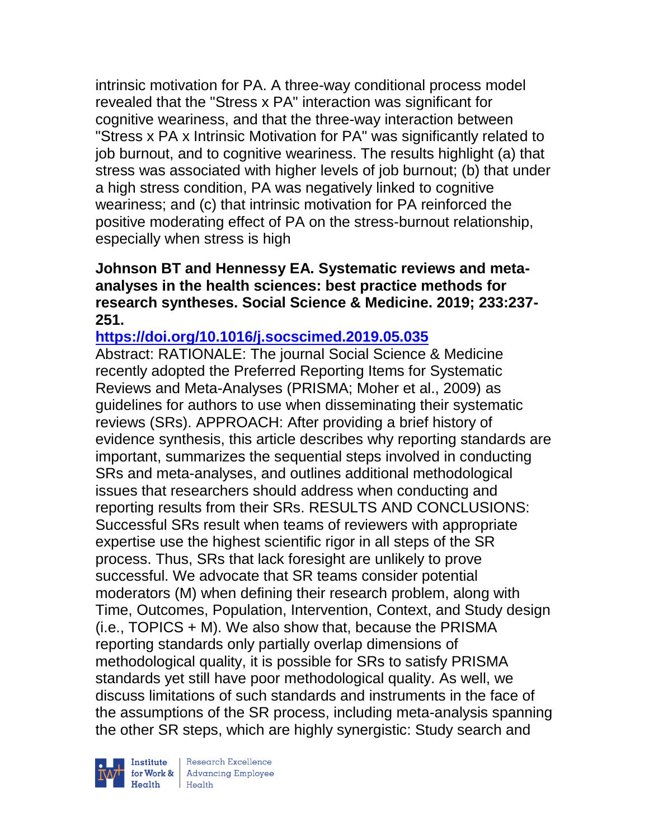intrinsic motivation for PA. A three-way conditional process model revealed that the "Stress x PA" interaction was significant for cognitive weariness, and that the three-way interaction between "Stress x PA x Intrinsic Motivation for PA" was significantly related to job burnout, and to cognitive weariness. The results highlight (a) that stress was associated with higher levels of job burnout; (b) that under a high stress condition, PA was negatively linked to cognitive weariness; and (c) that intrinsic motivation for PA reinforced the positive moderating effect of PA on the stress-burnout relationship, especially when stress is high

#### **Johnson BT and Hennessy EA. Systematic reviews and metaanalyses in the health sciences: best practice methods for research syntheses. Social Science & Medicine. 2019; 233:237- 251.**

## **<https://doi.org/10.1016/j.socscimed.2019.05.035>**

Abstract: RATIONALE: The journal Social Science & Medicine recently adopted the Preferred Reporting Items for Systematic Reviews and Meta-Analyses (PRISMA; Moher et al., 2009) as guidelines for authors to use when disseminating their systematic reviews (SRs). APPROACH: After providing a brief history of evidence synthesis, this article describes why reporting standards are important, summarizes the sequential steps involved in conducting SRs and meta-analyses, and outlines additional methodological issues that researchers should address when conducting and reporting results from their SRs. RESULTS AND CONCLUSIONS: Successful SRs result when teams of reviewers with appropriate expertise use the highest scientific rigor in all steps of the SR process. Thus, SRs that lack foresight are unlikely to prove successful. We advocate that SR teams consider potential moderators (M) when defining their research problem, along with Time, Outcomes, Population, Intervention, Context, and Study design (i.e., TOPICS + M). We also show that, because the PRISMA reporting standards only partially overlap dimensions of methodological quality, it is possible for SRs to satisfy PRISMA standards yet still have poor methodological quality. As well, we discuss limitations of such standards and instruments in the face of the assumptions of the SR process, including meta-analysis spanning the other SR steps, which are highly synergistic: Study search and

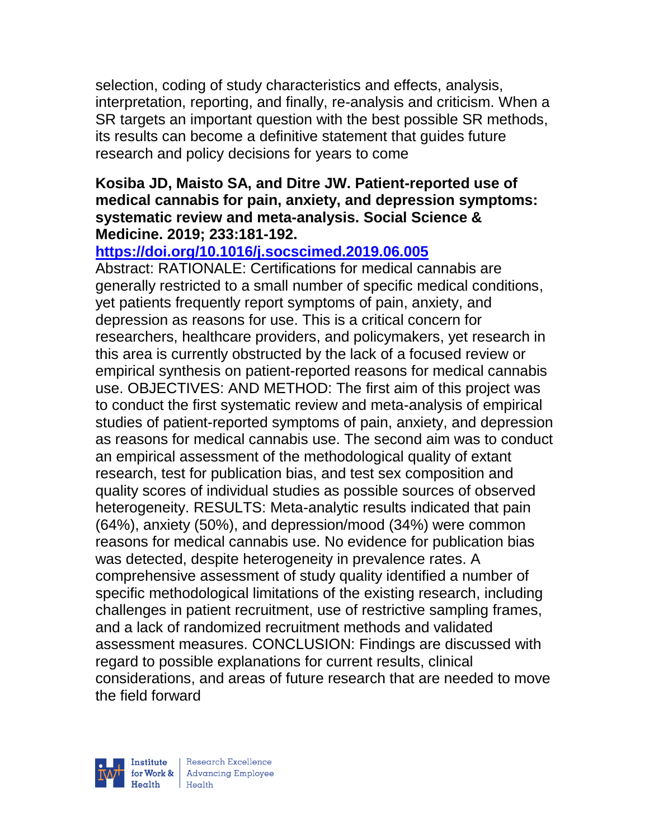selection, coding of study characteristics and effects, analysis, interpretation, reporting, and finally, re-analysis and criticism. When a SR targets an important question with the best possible SR methods, its results can become a definitive statement that guides future research and policy decisions for years to come

#### **Kosiba JD, Maisto SA, and Ditre JW. Patient-reported use of medical cannabis for pain, anxiety, and depression symptoms: systematic review and meta-analysis. Social Science & Medicine. 2019; 233:181-192.**

## **<https://doi.org/10.1016/j.socscimed.2019.06.005>**

Abstract: RATIONALE: Certifications for medical cannabis are generally restricted to a small number of specific medical conditions, yet patients frequently report symptoms of pain, anxiety, and depression as reasons for use. This is a critical concern for researchers, healthcare providers, and policymakers, yet research in this area is currently obstructed by the lack of a focused review or empirical synthesis on patient-reported reasons for medical cannabis use. OBJECTIVES: AND METHOD: The first aim of this project was to conduct the first systematic review and meta-analysis of empirical studies of patient-reported symptoms of pain, anxiety, and depression as reasons for medical cannabis use. The second aim was to conduct an empirical assessment of the methodological quality of extant research, test for publication bias, and test sex composition and quality scores of individual studies as possible sources of observed heterogeneity. RESULTS: Meta-analytic results indicated that pain (64%), anxiety (50%), and depression/mood (34%) were common reasons for medical cannabis use. No evidence for publication bias was detected, despite heterogeneity in prevalence rates. A comprehensive assessment of study quality identified a number of specific methodological limitations of the existing research, including challenges in patient recruitment, use of restrictive sampling frames, and a lack of randomized recruitment methods and validated assessment measures. CONCLUSION: Findings are discussed with regard to possible explanations for current results, clinical considerations, and areas of future research that are needed to move the field forward

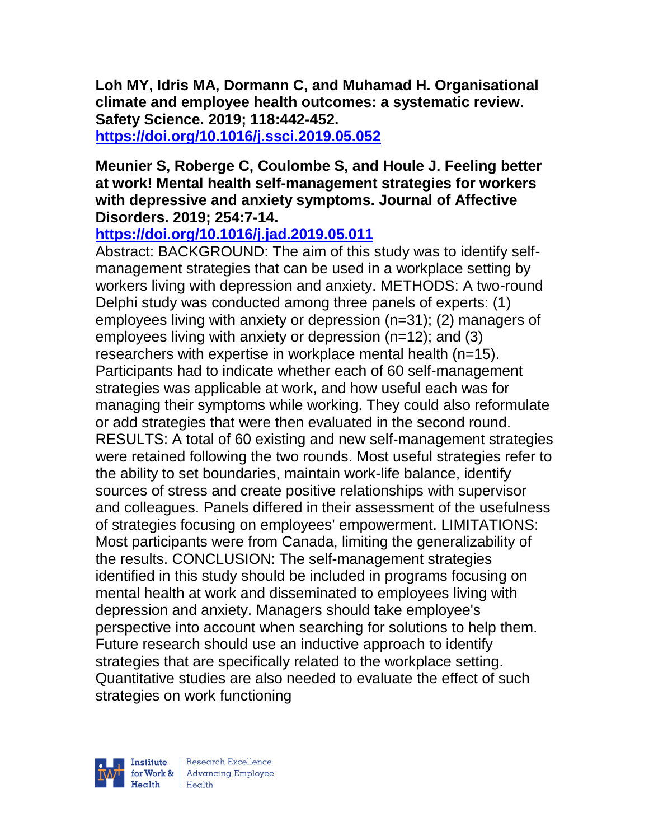**Loh MY, Idris MA, Dormann C, and Muhamad H. Organisational climate and employee health outcomes: a systematic review. Safety Science. 2019; 118:442-452.** 

**<https://doi.org/10.1016/j.ssci.2019.05.052>** 

#### **Meunier S, Roberge C, Coulombe S, and Houle J. Feeling better at work! Mental health self-management strategies for workers with depressive and anxiety symptoms. Journal of Affective Disorders. 2019; 254:7-14.**

# **<https://doi.org/10.1016/j.jad.2019.05.011>**

Abstract: BACKGROUND: The aim of this study was to identify selfmanagement strategies that can be used in a workplace setting by workers living with depression and anxiety. METHODS: A two-round Delphi study was conducted among three panels of experts: (1) employees living with anxiety or depression (n=31); (2) managers of employees living with anxiety or depression (n=12); and (3) researchers with expertise in workplace mental health (n=15). Participants had to indicate whether each of 60 self-management strategies was applicable at work, and how useful each was for managing their symptoms while working. They could also reformulate or add strategies that were then evaluated in the second round. RESULTS: A total of 60 existing and new self-management strategies were retained following the two rounds. Most useful strategies refer to the ability to set boundaries, maintain work-life balance, identify sources of stress and create positive relationships with supervisor and colleagues. Panels differed in their assessment of the usefulness of strategies focusing on employees' empowerment. LIMITATIONS: Most participants were from Canada, limiting the generalizability of the results. CONCLUSION: The self-management strategies identified in this study should be included in programs focusing on mental health at work and disseminated to employees living with depression and anxiety. Managers should take employee's perspective into account when searching for solutions to help them. Future research should use an inductive approach to identify strategies that are specifically related to the workplace setting. Quantitative studies are also needed to evaluate the effect of such strategies on work functioning

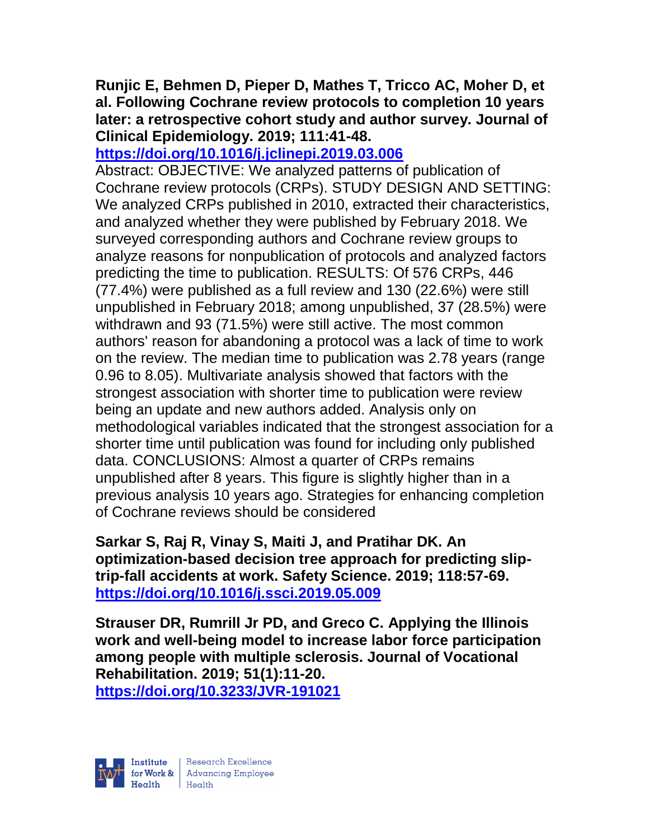## **Runjic E, Behmen D, Pieper D, Mathes T, Tricco AC, Moher D, et al. Following Cochrane review protocols to completion 10 years later: a retrospective cohort study and author survey. Journal of Clinical Epidemiology. 2019; 111:41-48.**

## **<https://doi.org/10.1016/j.jclinepi.2019.03.006>**

Abstract: OBJECTIVE: We analyzed patterns of publication of Cochrane review protocols (CRPs). STUDY DESIGN AND SETTING: We analyzed CRPs published in 2010, extracted their characteristics, and analyzed whether they were published by February 2018. We surveyed corresponding authors and Cochrane review groups to analyze reasons for nonpublication of protocols and analyzed factors predicting the time to publication. RESULTS: Of 576 CRPs, 446 (77.4%) were published as a full review and 130 (22.6%) were still unpublished in February 2018; among unpublished, 37 (28.5%) were withdrawn and 93 (71.5%) were still active. The most common authors' reason for abandoning a protocol was a lack of time to work on the review. The median time to publication was 2.78 years (range 0.96 to 8.05). Multivariate analysis showed that factors with the strongest association with shorter time to publication were review being an update and new authors added. Analysis only on methodological variables indicated that the strongest association for a shorter time until publication was found for including only published data. CONCLUSIONS: Almost a quarter of CRPs remains unpublished after 8 years. This figure is slightly higher than in a previous analysis 10 years ago. Strategies for enhancing completion of Cochrane reviews should be considered

**Sarkar S, Raj R, Vinay S, Maiti J, and Pratihar DK. An optimization-based decision tree approach for predicting sliptrip-fall accidents at work. Safety Science. 2019; 118:57-69. <https://doi.org/10.1016/j.ssci.2019.05.009>** 

**Strauser DR, Rumrill Jr PD, and Greco C. Applying the Illinois work and well-being model to increase labor force participation among people with multiple sclerosis. Journal of Vocational Rehabilitation. 2019; 51(1):11-20. <https://doi.org/10.3233/JVR-191021>**